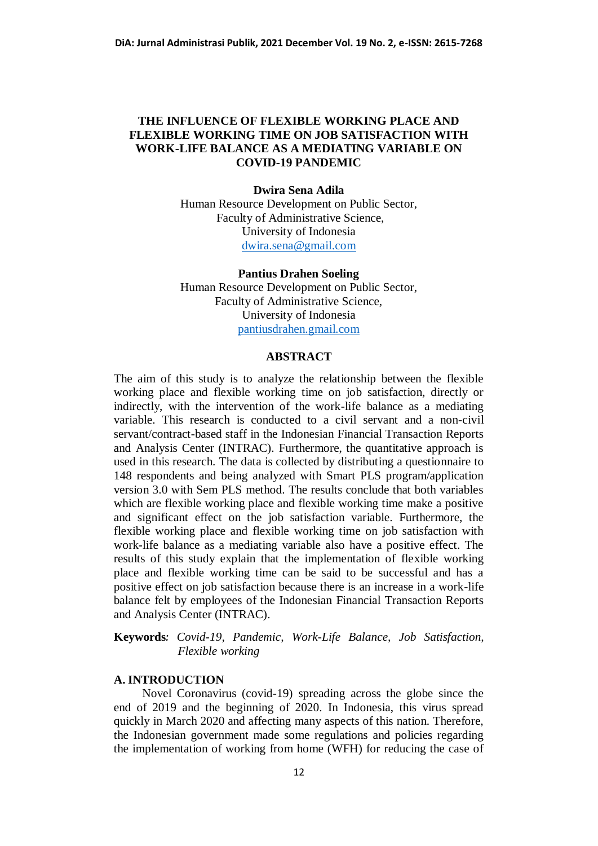## **THE INFLUENCE OF FLEXIBLE WORKING PLACE AND FLEXIBLE WORKING TIME ON JOB SATISFACTION WITH WORK-LIFE BALANCE AS A MEDIATING VARIABLE ON COVID-19 PANDEMIC**

#### **Dwira Sena Adila**

Human Resource Development on Public Sector, Faculty of Administrative Science, University of Indonesia [dwira.sena@gmail.com](mailto:dwira.sena@gmail.com)

## **Pantius Drahen Soeling**

Human Resource Development on Public Sector, Faculty of Administrative Science, University of Indonesia [pantiusdrahen.gmail.com](mailto:dwira.sena@gmail.com)

## **ABSTRACT**

The aim of this study is to analyze the relationship between the flexible working place and flexible working time on job satisfaction, directly or indirectly, with the intervention of the work-life balance as a mediating variable. This research is conducted to a civil servant and a non-civil servant/contract-based staff in the Indonesian Financial Transaction Reports and Analysis Center (INTRAC). Furthermore, the quantitative approach is used in this research. The data is collected by distributing a questionnaire to 148 respondents and being analyzed with Smart PLS program/application version 3.0 with Sem PLS method. The results conclude that both variables which are flexible working place and flexible working time make a positive and significant effect on the job satisfaction variable. Furthermore, the flexible working place and flexible working time on job satisfaction with work-life balance as a mediating variable also have a positive effect. The results of this study explain that the implementation of flexible working place and flexible working time can be said to be successful and has a positive effect on job satisfaction because there is an increase in a work-life balance felt by employees of the Indonesian Financial Transaction Reports and Analysis Center (INTRAC).

**Keywords***: Covid-19, Pandemic, Work-Life Balance, Job Satisfaction, Flexible working*

#### **A. INTRODUCTION**

Novel Coronavirus (covid-19) spreading across the globe since the end of 2019 and the beginning of 2020. In Indonesia, this virus spread quickly in March 2020 and affecting many aspects of this nation. Therefore, the Indonesian government made some regulations and policies regarding the implementation of working from home (WFH) for reducing the case of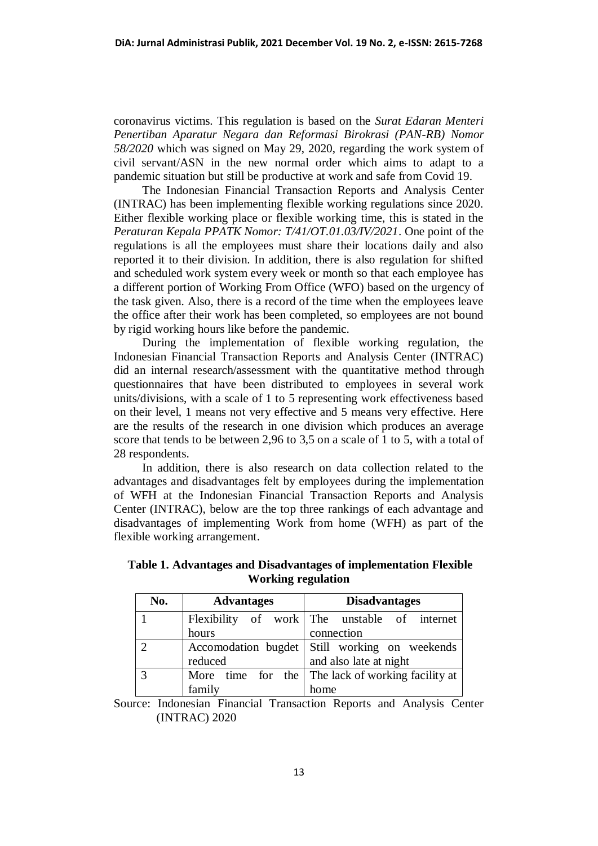coronavirus victims. This regulation is based on the *Surat Edaran Menteri Penertiban Aparatur Negara dan Reformasi Birokrasi (PAN-RB) Nomor 58/2020* which was signed on May 29, 2020, regarding the work system of civil servant/ASN in the new normal order which aims to adapt to a pandemic situation but still be productive at work and safe from Covid 19.

The Indonesian Financial Transaction Reports and Analysis Center (INTRAC) has been implementing flexible working regulations since 2020. Either flexible working place or flexible working time, this is stated in the *Peraturan Kepala PPATK Nomor: T/41/OT.01.03/IV/2021*. One point of the regulations is all the employees must share their locations daily and also reported it to their division. In addition, there is also regulation for shifted and scheduled work system every week or month so that each employee has a different portion of Working From Office (WFO) based on the urgency of the task given. Also, there is a record of the time when the employees leave the office after their work has been completed, so employees are not bound by rigid working hours like before the pandemic.

During the implementation of flexible working regulation, the Indonesian Financial Transaction Reports and Analysis Center (INTRAC) did an internal research/assessment with the quantitative method through questionnaires that have been distributed to employees in several work units/divisions, with a scale of 1 to 5 representing work effectiveness based on their level, 1 means not very effective and 5 means very effective. Here are the results of the research in one division which produces an average score that tends to be between 2,96 to 3,5 on a scale of 1 to 5, with a total of 28 respondents.

In addition, there is also research on data collection related to the advantages and disadvantages felt by employees during the implementation of WFH at the Indonesian Financial Transaction Reports and Analysis Center (INTRAC), below are the top three rankings of each advantage and disadvantages of implementing Work from home (WFH) as part of the flexible working arrangement.

| No.           | <b>Advantages</b> | <b>Disadvantages</b>                              |  |  |
|---------------|-------------------|---------------------------------------------------|--|--|
|               |                   | Flexibility of work The unstable of internet      |  |  |
|               | hours             | connection                                        |  |  |
| $\mathcal{D}$ |                   | Accomodation bugdet Still working on weekends     |  |  |
|               | reduced           | and also late at night                            |  |  |
| 3             |                   | More time for the The lack of working facility at |  |  |
|               | family            | home                                              |  |  |

**Table 1. Advantages and Disadvantages of implementation Flexible Working regulation**

Source: Indonesian Financial Transaction Reports and Analysis Center (INTRAC) 2020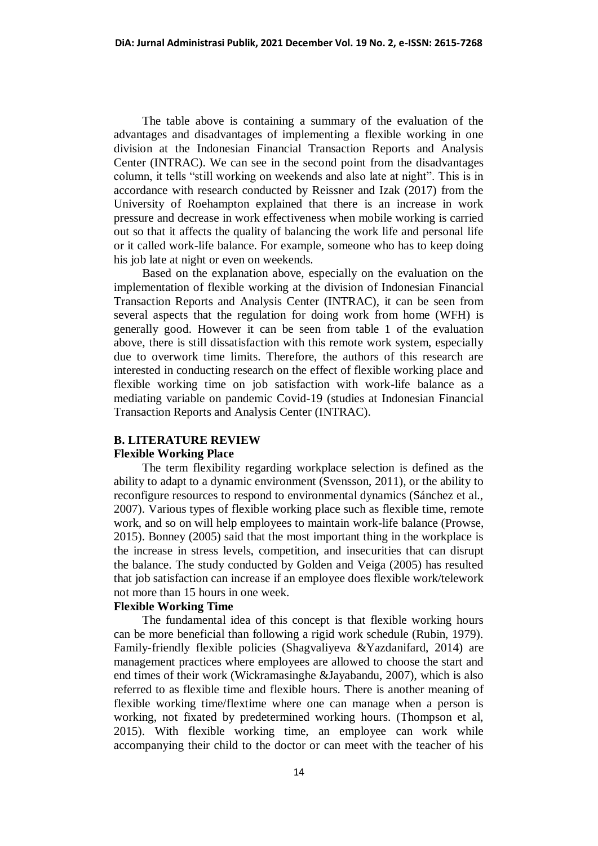The table above is containing a summary of the evaluation of the advantages and disadvantages of implementing a flexible working in one division at the Indonesian Financial Transaction Reports and Analysis Center (INTRAC). We can see in the second point from the disadvantages column, it tells "still working on weekends and also late at night". This is in accordance with research conducted by Reissner and Izak (2017) from the University of Roehampton explained that there is an increase in work pressure and decrease in work effectiveness when mobile working is carried out so that it affects the quality of balancing the work life and personal life or it called work-life balance. For example, someone who has to keep doing his job late at night or even on weekends.

Based on the explanation above, especially on the evaluation on the implementation of flexible working at the division of Indonesian Financial Transaction Reports and Analysis Center (INTRAC), it can be seen from several aspects that the regulation for doing work from home (WFH) is generally good. However it can be seen from table 1 of the evaluation above, there is still dissatisfaction with this remote work system, especially due to overwork time limits. Therefore, the authors of this research are interested in conducting research on the effect of flexible working place and flexible working time on job satisfaction with work-life balance as a mediating variable on pandemic Covid-19 (studies at Indonesian Financial Transaction Reports and Analysis Center (INTRAC).

### **B. LITERATURE REVIEW**

#### **Flexible Working Place**

The term flexibility regarding workplace selection is defined as the ability to adapt to a dynamic environment (Svensson, 2011), or the ability to reconfigure resources to respond to environmental dynamics (Sánchez et al., 2007). Various types of flexible working place such as flexible time, remote work, and so on will help employees to maintain work-life balance (Prowse, 2015). Bonney (2005) said that the most important thing in the workplace is the increase in stress levels, competition, and insecurities that can disrupt the balance. The study conducted by Golden and Veiga (2005) has resulted that job satisfaction can increase if an employee does flexible work/telework not more than 15 hours in one week.

### **Flexible Working Time**

The fundamental idea of this concept is that flexible working hours can be more beneficial than following a rigid work schedule (Rubin, 1979). Family-friendly flexible policies (Shagvaliyeva &Yazdanifard, 2014) are management practices where employees are allowed to choose the start and end times of their work (Wickramasinghe &Jayabandu, 2007), which is also referred to as flexible time and flexible hours. There is another meaning of flexible working time/flextime where one can manage when a person is working, not fixated by predetermined working hours. (Thompson et al, 2015). With flexible working time, an employee can work while accompanying their child to the doctor or can meet with the teacher of his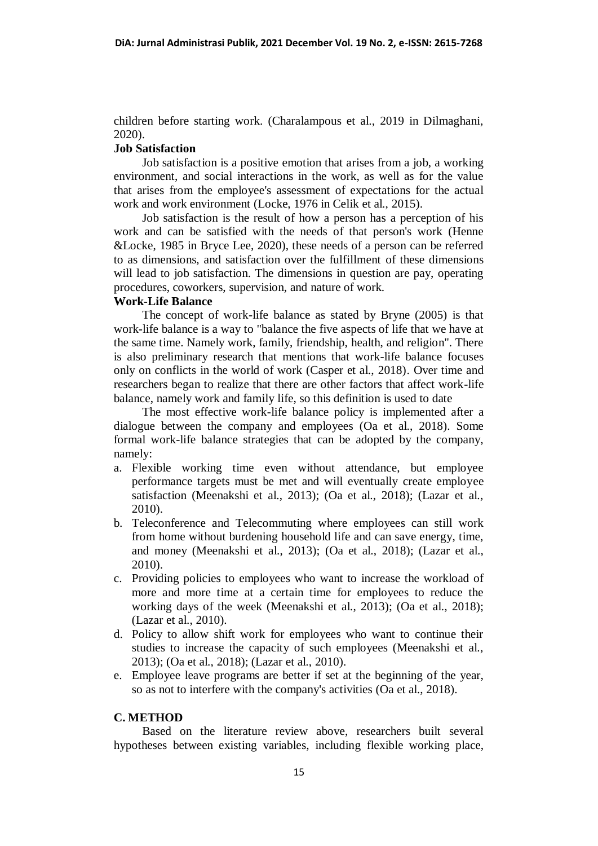children before starting work. (Charalampous et al., 2019 in Dilmaghani, 2020).

## **Job Satisfaction**

Job satisfaction is a positive emotion that arises from a job, a working environment, and social interactions in the work, as well as for the value that arises from the employee's assessment of expectations for the actual work and work environment (Locke, 1976 in Celik et al., 2015).

Job satisfaction is the result of how a person has a perception of his work and can be satisfied with the needs of that person's work (Henne &Locke, 1985 in Bryce Lee, 2020), these needs of a person can be referred to as dimensions, and satisfaction over the fulfillment of these dimensions will lead to job satisfaction. The dimensions in question are pay, operating procedures, coworkers, supervision, and nature of work.

### **Work-Life Balance**

The concept of work-life balance as stated by Bryne (2005) is that work-life balance is a way to "balance the five aspects of life that we have at the same time. Namely work, family, friendship, health, and religion". There is also preliminary research that mentions that work-life balance focuses only on conflicts in the world of work (Casper et al., 2018). Over time and researchers began to realize that there are other factors that affect work-life balance, namely work and family life, so this definition is used to date

The most effective work-life balance policy is implemented after a dialogue between the company and employees (Oa et al., 2018). Some formal work-life balance strategies that can be adopted by the company, namely:

- a. Flexible working time even without attendance, but employee performance targets must be met and will eventually create employee satisfaction (Meenakshi et al., 2013); (Oa et al., 2018); (Lazar et al., 2010).
- b. Teleconference and Telecommuting where employees can still work from home without burdening household life and can save energy, time, and money (Meenakshi et al., 2013); (Oa et al., 2018); (Lazar et al., 2010).
- c. Providing policies to employees who want to increase the workload of more and more time at a certain time for employees to reduce the working days of the week (Meenakshi et al., 2013); (Oa et al., 2018); (Lazar et al., 2010).
- d. Policy to allow shift work for employees who want to continue their studies to increase the capacity of such employees (Meenakshi et al., 2013); (Oa et al., 2018); (Lazar et al., 2010).
- e. Employee leave programs are better if set at the beginning of the year, so as not to interfere with the company's activities (Oa et al., 2018).

#### **C. METHOD**

Based on the literature review above, researchers built several hypotheses between existing variables, including flexible working place,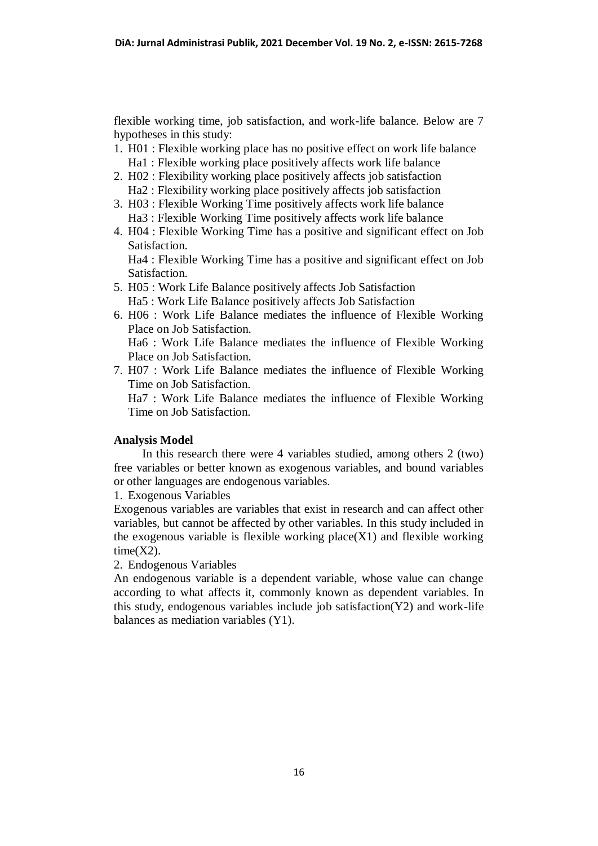flexible working time, job satisfaction, and work-life balance. Below are 7 hypotheses in this study:

- 1. H01 : Flexible working place has no positive effect on work life balance Ha1 : Flexible working place positively affects work life balance
- 2. H02 : Flexibility working place positively affects job satisfaction Ha2 : Flexibility working place positively affects job satisfaction
- 3. H03 : Flexible Working Time positively affects work life balance Ha3 : Flexible Working Time positively affects work life balance
- 4. H04 : Flexible Working Time has a positive and significant effect on Job Satisfaction.

Ha4 : Flexible Working Time has a positive and significant effect on Job Satisfaction.

- 5. H05 : Work Life Balance positively affects Job Satisfaction Ha5 : Work Life Balance positively affects Job Satisfaction
- 6. H06 : Work Life Balance mediates the influence of Flexible Working Place on Job Satisfaction. Ha6 : Work Life Balance mediates the influence of Flexible Working Place on Job Satisfaction.
- 7. H07 : Work Life Balance mediates the influence of Flexible Working Time on Job Satisfaction.

Ha7 : Work Life Balance mediates the influence of Flexible Working Time on Job Satisfaction.

### **Analysis Model**

In this research there were 4 variables studied, among others 2 (two) free variables or better known as exogenous variables, and bound variables or other languages are endogenous variables.

1. Exogenous Variables

Exogenous variables are variables that exist in research and can affect other variables, but cannot be affected by other variables. In this study included in the exogenous variable is flexible working place $(X1)$  and flexible working  $time(X2)$ .

## 2. Endogenous Variables

An endogenous variable is a dependent variable, whose value can change according to what affects it, commonly known as dependent variables. In this study, endogenous variables include job satisfaction(Y2) and work-life balances as mediation variables (Y1).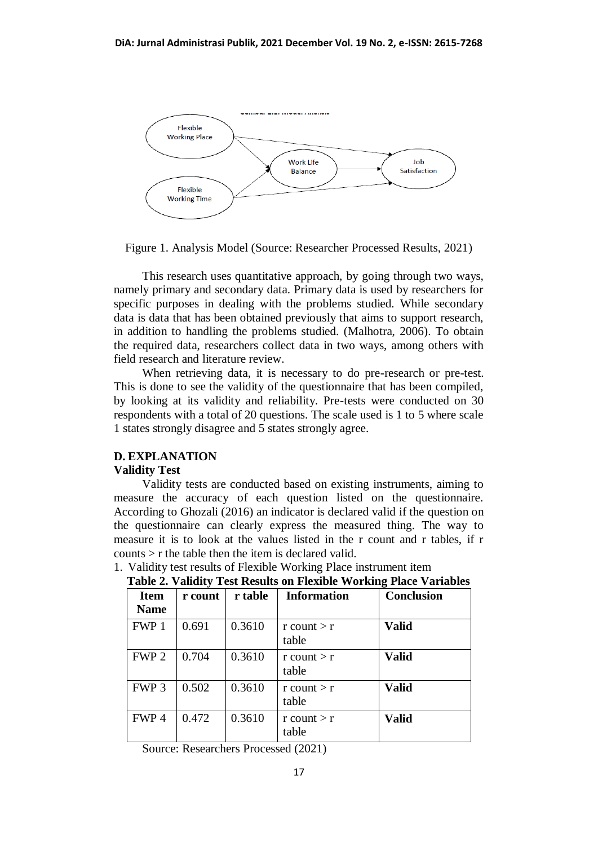

Figure 1. Analysis Model (Source: Researcher Processed Results, 2021)

This research uses quantitative approach, by going through two ways, namely primary and secondary data. Primary data is used by researchers for specific purposes in dealing with the problems studied. While secondary data is data that has been obtained previously that aims to support research, in addition to handling the problems studied. (Malhotra, 2006). To obtain the required data, researchers collect data in two ways, among others with field research and literature review.

When retrieving data, it is necessary to do pre-research or pre-test. This is done to see the validity of the questionnaire that has been compiled, by looking at its validity and reliability. Pre-tests were conducted on 30 respondents with a total of 20 questions. The scale used is 1 to 5 where scale 1 states strongly disagree and 5 states strongly agree.

## **D. EXPLANATION**

#### **Validity Test**

Validity tests are conducted based on existing instruments, aiming to measure the accuracy of each question listed on the questionnaire. According to Ghozali (2016) an indicator is declared valid if the question on the questionnaire can clearly express the measured thing. The way to measure it is to look at the values listed in the r count and r tables, if r counts > r the table then the item is declared valid.

| <b>Item</b><br><b>Name</b> | r count | r table | <b>Information</b>      | <b>Conclusion</b> |
|----------------------------|---------|---------|-------------------------|-------------------|
| FWP 1                      | 0.691   | 0.3610  | $r$ count $>r$<br>table | <b>Valid</b>      |
| FWP <sub>2</sub>           | 0.704   | 0.3610  | $r$ count $>r$<br>table | <b>Valid</b>      |
| FWP <sub>3</sub>           | 0.502   | 0.3610  | $r$ count $>r$<br>table | <b>Valid</b>      |
| FWP4                       | 0.472   | 0.3610  | $r$ count $>r$<br>table | <b>Valid</b>      |

1. Validity test results of Flexible Working Place instrument item **Table 2. Validity Test Results on Flexible Working Place Variables**

Source: Researchers Processed (2021)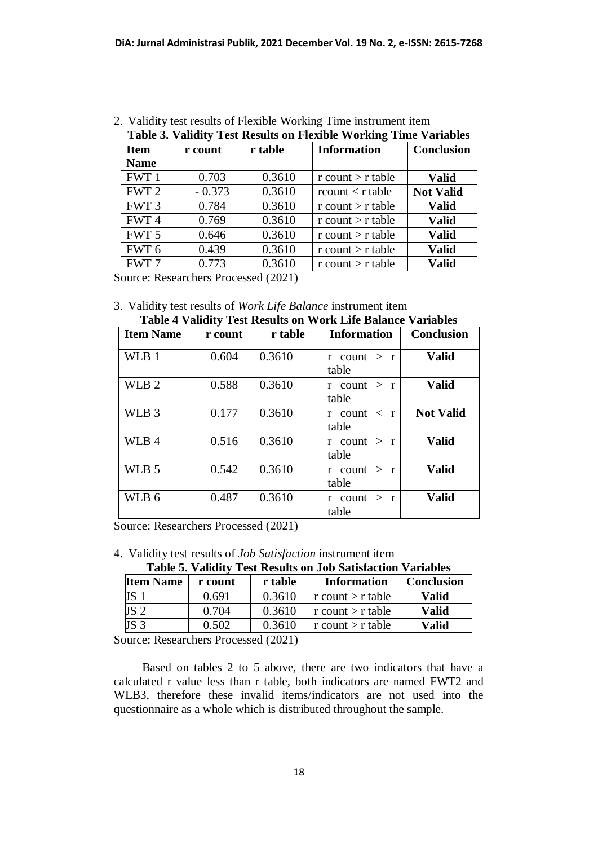| <b>Table 3. Validity Test Results on Flexible Working Time Variables</b> |          |         |                                  |                   |  |
|--------------------------------------------------------------------------|----------|---------|----------------------------------|-------------------|--|
| <b>Item</b>                                                              | r count  | r table | <b>Information</b>               | <b>Conclusion</b> |  |
| <b>Name</b>                                                              |          |         |                                  |                   |  |
| FWT 1                                                                    | 0.703    | 0.3610  | r count $>$ r table              | <b>Valid</b>      |  |
| FWT <sub>2</sub>                                                         | $-0.373$ | 0.3610  | $\text{rcount} < \text{r table}$ | <b>Not Valid</b>  |  |
| FWT <sub>3</sub>                                                         | 0.784    | 0.3610  | $r$ count $\gt r$ table          | <b>Valid</b>      |  |
| FWT <sub>4</sub>                                                         | 0.769    | 0.3610  | r count $>$ r table              | <b>Valid</b>      |  |
| FWT 5                                                                    | 0.646    | 0.3610  | $r$ count $\gt r$ table          | <b>Valid</b>      |  |
| FWT <sub>6</sub>                                                         | 0.439    | 0.3610  | $r$ count $\gt r$ table          | <b>Valid</b>      |  |
| FWT 7                                                                    | 0.773    | 0.3610  | r count $>$ r table              | <b>Valid</b>      |  |
|                                                                          |          |         |                                  |                   |  |

2. Validity test results of Flexible Working Time instrument item

Source: Researchers Processed (2021)

3. Validity test results of *Work Life Balance* instrument item **Table 4 Validity Test Results on Work Life Balance Variables**

| Tuble + Tubuley Test Results on Work Ente Dunance |         |         |                                        |                   |  |
|---------------------------------------------------|---------|---------|----------------------------------------|-------------------|--|
| <b>Item Name</b>                                  | r count | r table | <b>Information</b>                     | <b>Conclusion</b> |  |
| WLB 1                                             | 0.604   | 0.3610  | $r$ count $> r$<br>table               | <b>Valid</b>      |  |
| WLB <sub>2</sub>                                  | 0.588   | 0.3610  | $r$ count $> r$<br>table               | <b>Valid</b>      |  |
| WLB <sub>3</sub>                                  | 0.177   | 0.3610  | $r$ count $\langle r \rangle$<br>table | <b>Not Valid</b>  |  |
| WLB 4                                             | 0.516   | 0.3610  | $r$ count $> r$<br>table               | <b>Valid</b>      |  |
| WLB <sub>5</sub>                                  | 0.542   | 0.3610  | $r$ count $> r$<br>table               | <b>Valid</b>      |  |
| WLB 6                                             | 0.487   | 0.3610  | $r$ count $> r$<br>table               | <b>Valid</b>      |  |

Source: Researchers Processed (2021)

4. Validity test results of *Job Satisfaction* instrument item

| <b>Item Name</b> | r count | r table | Information         | <b>Conclusion</b> |
|------------------|---------|---------|---------------------|-------------------|
| JS 1             | 0.691   | 0.3610  | r count $>$ r table | Valid             |
| JS 2             | 0.704   | 0.3610  | r count $>$ r table | Valid             |
| JS <sub>3</sub>  | 0.502   | 0.3610  | r count $>$ r table | Valid             |

Source: Researchers Processed (2021)

Based on tables 2 to 5 above, there are two indicators that have a calculated r value less than r table, both indicators are named FWT2 and WLB3, therefore these invalid items/indicators are not used into the questionnaire as a whole which is distributed throughout the sample.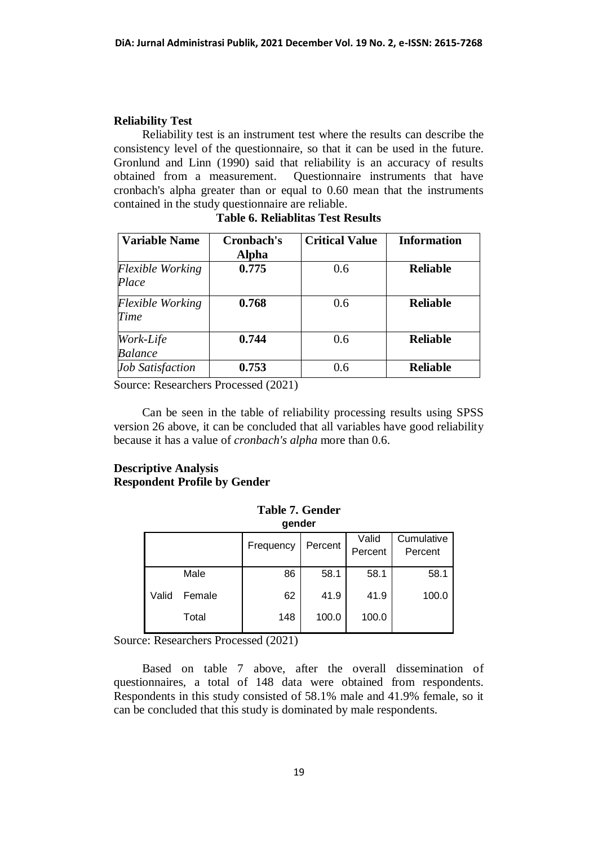#### **Reliability Test**

Reliability test is an instrument test where the results can describe the consistency level of the questionnaire, so that it can be used in the future. Gronlund and Linn (1990) said that reliability is an accuracy of results obtained from a measurement. Questionnaire instruments that have cronbach's alpha greater than or equal to 0.60 mean that the instruments contained in the study questionnaire are reliable.

| <b>Variable Name</b>    | Cronbach's   | <b>Critical Value</b> | <b>Information</b> |
|-------------------------|--------------|-----------------------|--------------------|
|                         | <b>Alpha</b> |                       |                    |
| <b>Flexible Working</b> | 0.775        | 0.6                   | <b>Reliable</b>    |
| Place                   |              |                       |                    |
| <b>Flexible Working</b> | 0.768        | 0.6                   | <b>Reliable</b>    |
| Time                    |              |                       |                    |
| Work-Life               | 0.744        | 0.6                   | <b>Reliable</b>    |
| <b>Balance</b>          |              |                       |                    |
| <b>Job Satisfaction</b> | 0.753        | 0.6                   | <b>Reliable</b>    |

**Table 6. Reliablitas Test Results**

Source: Researchers Processed (2021)

Can be seen in the table of reliability processing results using SPSS version 26 above, it can be concluded that all variables have good reliability because it has a value of *cronbach's alpha* more than 0.6.

## **Descriptive Analysis Respondent Profile by Gender**

|       | gender |           |         |                  |                       |  |
|-------|--------|-----------|---------|------------------|-----------------------|--|
|       |        | Frequency | Percent | Valid<br>Percent | Cumulative<br>Percent |  |
|       | Male   | 86        | 58.1    | 58.1             | 58.1                  |  |
| Valid | Female | 62        | 41.9    | 41.9             | 100.0                 |  |
|       | Total  | 148       | 100.0   | 100.0            |                       |  |

**Table 7. Gender gender**

Source: Researchers Processed (2021)

Based on table 7 above, after the overall dissemination of questionnaires, a total of 148 data were obtained from respondents. Respondents in this study consisted of 58.1% male and 41.9% female, so it can be concluded that this study is dominated by male respondents.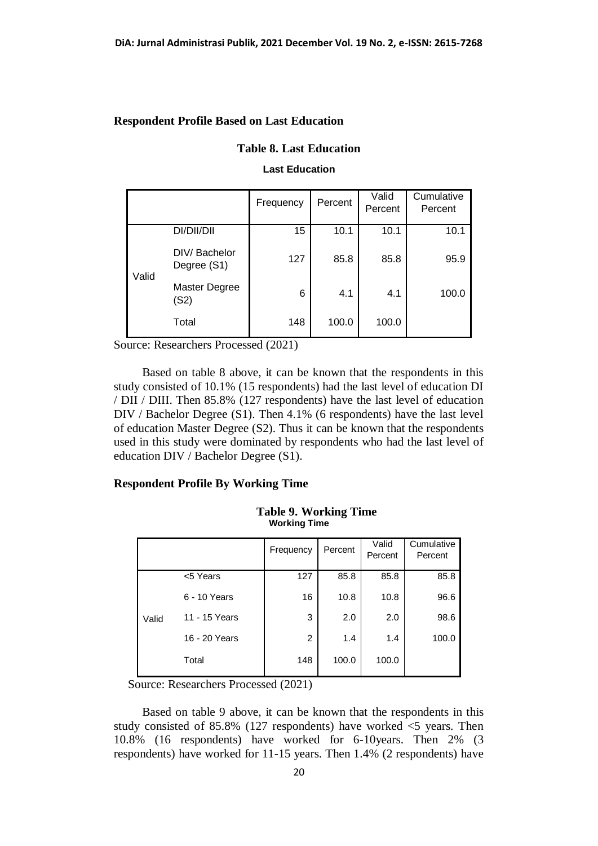## **Respondent Profile Based on Last Education**

## **Table 8. Last Education**

#### **Last Education**

|       |                             | Frequency | Percent | Valid<br>Percent | Cumulative<br>Percent |
|-------|-----------------------------|-----------|---------|------------------|-----------------------|
| Valid | DI/DII/DII                  | 15        | 10.1    | 10.1             | 10.1                  |
|       | DIV/Bachelor<br>Degree (S1) | 127       | 85.8    | 85.8             | 95.9                  |
|       | Master Degree<br>(S2)       | 6         | 4.1     | 4.1              | 100.0                 |
|       | Total                       | 148       | 100.0   | 100.0            |                       |

Source: Researchers Processed (2021)

Based on table 8 above, it can be known that the respondents in this study consisted of 10.1% (15 respondents) had the last level of education DI / DII / DIII. Then 85.8% (127 respondents) have the last level of education DIV / Bachelor Degree (S1). Then 4.1% (6 respondents) have the last level of education Master Degree (S2). Thus it can be known that the respondents used in this study were dominated by respondents who had the last level of education DIV / Bachelor Degree (S1).

### **Respondent Profile By Working Time**

|       |               | Frequency | Percent | Valid<br>Percent | Cumulative<br>Percent |
|-------|---------------|-----------|---------|------------------|-----------------------|
| Valid | <5 Years      | 127       | 85.8    | 85.8             | 85.8                  |
|       | 6 - 10 Years  | 16        | 10.8    | 10.8             | 96.6                  |
|       | 11 - 15 Years | 3         | 2.0     | 2.0              | 98.6                  |
|       | 16 - 20 Years | 2         | 1.4     | 1.4              | 100.0                 |
|       | Total         | 148       | 100.0   | 100.0            |                       |

**Table 9. Working Time Working Time**

Source: Researchers Processed (2021)

Based on table 9 above, it can be known that the respondents in this study consisted of 85.8% (127 respondents) have worked  $\leq$  years. Then 10.8% (16 respondents) have worked for 6-10years. Then 2% (3 respondents) have worked for 11-15 years. Then 1.4% (2 respondents) have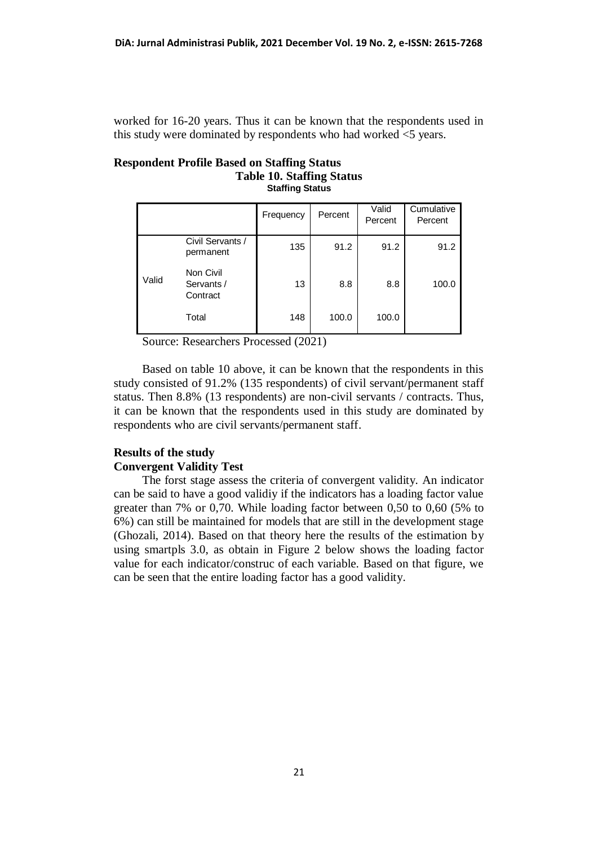worked for 16-20 years. Thus it can be known that the respondents used in this study were dominated by respondents who had worked <5 years.

# **Respondent Profile Based on Staffing Status Table 10. Staffing Status**

**Staffing Status**

|       |                                     | Frequency | Percent | Valid<br>Percent | Cumulative<br>Percent |
|-------|-------------------------------------|-----------|---------|------------------|-----------------------|
|       | Civil Servants /<br>permanent       | 135       | 91.2    | 91.2             | 91.2                  |
| Valid | Non Civil<br>Servants /<br>Contract | 13        | 8.8     | 8.8              | 100.0                 |
|       | Total                               | 148       | 100.0   | 100.0            |                       |

Source: Researchers Processed (2021)

Based on table 10 above, it can be known that the respondents in this study consisted of 91.2% (135 respondents) of civil servant/permanent staff status. Then 8.8% (13 respondents) are non-civil servants / contracts. Thus, it can be known that the respondents used in this study are dominated by respondents who are civil servants/permanent staff.

### **Results of the study**

## **Convergent Validity Test**

The forst stage assess the criteria of convergent validity. An indicator can be said to have a good validiy if the indicators has a loading factor value greater than 7% or 0,70. While loading factor between 0,50 to 0,60 (5% to 6%) can still be maintained for models that are still in the development stage (Ghozali, 2014). Based on that theory here the results of the estimation by using smartpls 3.0, as obtain in Figure 2 below shows the loading factor value for each indicator/construc of each variable. Based on that figure, we can be seen that the entire loading factor has a good validity.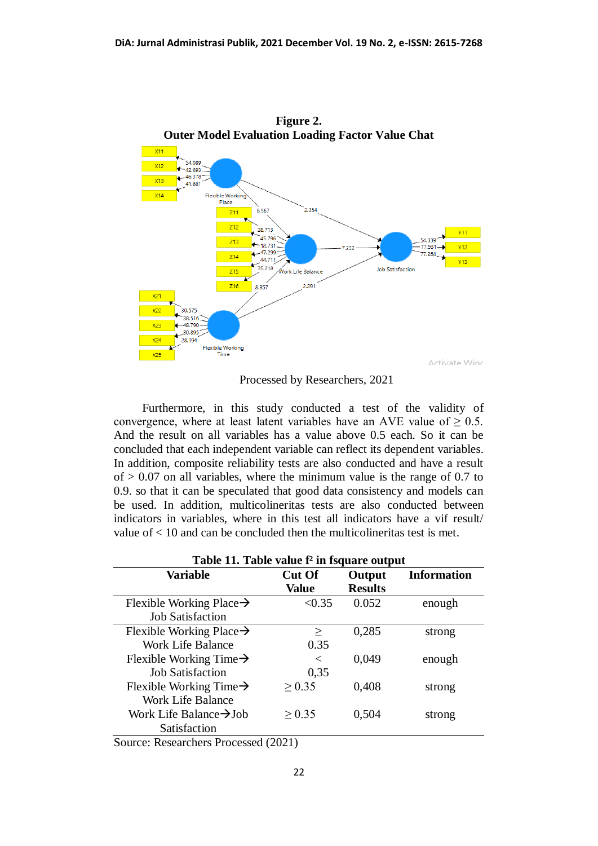

Processed by Researchers, 2021

Furthermore, in this study conducted a test of the validity of convergence, where at least latent variables have an AVE value of  $\geq 0.5$ . And the result on all variables has a value above 0.5 each. So it can be concluded that each independent variable can reflect its dependent variables. In addition, composite reliability tests are also conducted and have a result of  $> 0.07$  on all variables, where the minimum value is the range of 0.7 to 0.9. so that it can be speculated that good data consistency and models can be used. In addition, multicolineritas tests are also conducted between indicators in variables, where in this test all indicators have a vif result/ value of < 10 and can be concluded then the multicolineritas test is met.

| Table II. Table value <sup>1</sup> In Isquare output |               |                |                    |  |  |
|------------------------------------------------------|---------------|----------------|--------------------|--|--|
| <b>Variable</b>                                      | <b>Cut Of</b> | Output         | <b>Information</b> |  |  |
|                                                      | <b>Value</b>  | <b>Results</b> |                    |  |  |
| Flexible Working Place $\rightarrow$                 | < 0.35        | 0.052          | enough             |  |  |
| <b>Job Satisfaction</b>                              |               |                |                    |  |  |
| Flexible Working Place $\rightarrow$                 | $\geq$        | 0,285          | strong             |  |  |
| Work Life Balance                                    | 0.35          |                |                    |  |  |
| Flexible Working Time $\rightarrow$                  | $\,<\,$       | 0,049          | enough             |  |  |
| <b>Job Satisfaction</b>                              | 0,35          |                |                    |  |  |
| Flexible Working Time $\rightarrow$                  | > 0.35        | 0,408          | strong             |  |  |
| Work Life Balance                                    |               |                |                    |  |  |
| Work Life Balance $\rightarrow$ Job                  | > 0.35        | 0,504          | strong             |  |  |
| Satisfaction                                         |               |                |                    |  |  |
| $\sim$<br>ת ו ת                                      | 1/0011        |                |                    |  |  |

| Table 11. Table value f <sup>2</sup> in fsquare output |  |  |  |
|--------------------------------------------------------|--|--|--|
|--------------------------------------------------------|--|--|--|

Source: Researchers Processed (2021)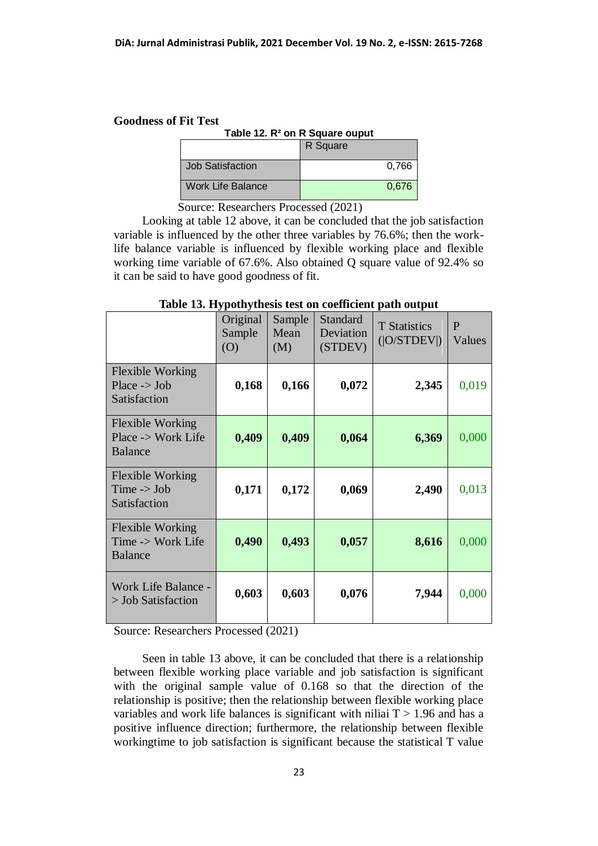### **Goodness of Fit Test**

| Table 12. R <sup>2</sup> on R Square ouput |          |  |  |  |
|--------------------------------------------|----------|--|--|--|
|                                            | R Square |  |  |  |
| Job Satisfaction                           | 0,766    |  |  |  |
| Work Life Balance                          | 0,676    |  |  |  |

Source: Researchers Processed (2021)

Looking at table 12 above, it can be concluded that the job satisfaction variable is influenced by the other three variables by 76.6%; then the worklife balance variable is influenced by flexible working place and flexible working time variable of 67.6%. Also obtained Q square value of 92.4% so it can be said to have good goodness of fit.

|                                                                    | Original<br>Sample<br>(0) | Sample<br>Mean<br>(M) | Standard<br>Deviation<br>(STDEV) | <b>T</b> Statistics<br>( O/STDEV ) | $\mathbf{P}$<br>Values |
|--------------------------------------------------------------------|---------------------------|-----------------------|----------------------------------|------------------------------------|------------------------|
| <b>Flexible Working</b><br>Place $\rightarrow$ Job<br>Satisfaction | 0,168                     | 0,166                 | 0,072                            | 2,345                              | 0,019                  |
| <b>Flexible Working</b><br>Place -> Work Life<br><b>Balance</b>    | 0,409                     | 0,409                 | 0,064                            | 6,369                              | 0,000                  |
| <b>Flexible Working</b><br>Time $\rightarrow$ Job<br>Satisfaction  | 0,171                     | 0,172                 | 0,069                            | 2,490                              | 0,013                  |
| <b>Flexible Working</b><br>Time -> Work Life<br><b>Balance</b>     | 0,490                     | 0,493                 | 0,057                            | 8,616                              | 0,000                  |
| Work Life Balance -<br>> Job Satisfaction                          | 0,603                     | 0,603                 | 0,076                            | 7,944                              | 0,000                  |

## **Table 13. Hypothythesis test on coefficient path output**

Source: Researchers Processed (2021)

Seen in table 13 above, it can be concluded that there is a relationship between flexible working place variable and job satisfaction is significant with the original sample value of 0.168 so that the direction of the relationship is positive; then the relationship between flexible working place variables and work life balances is significant with niliai  $T > 1.96$  and has a positive influence direction; furthermore, the relationship between flexible workingtime to job satisfaction is significant because the statistical T value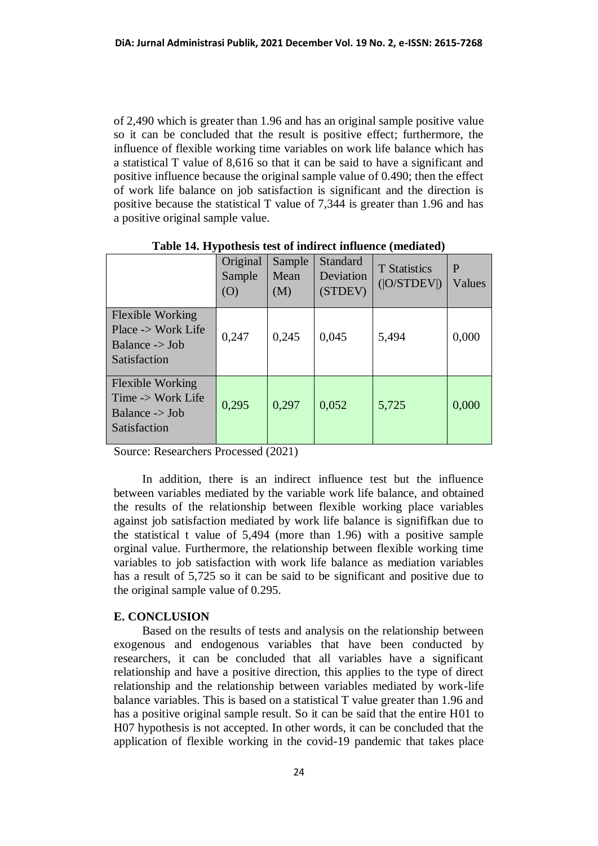of 2,490 which is greater than 1.96 and has an original sample positive value so it can be concluded that the result is positive effect; furthermore, the influence of flexible working time variables on work life balance which has a statistical T value of 8,616 so that it can be said to have a significant and positive influence because the original sample value of 0.490; then the effect of work life balance on job satisfaction is significant and the direction is positive because the statistical T value of 7,344 is greater than 1.96 and has a positive original sample value.

|                                                                                                   | Original<br>Sample<br>(O) | Sample<br>Mean<br>(M) | Standard<br>Deviation<br>(STDEV) | <b>T</b> Statistics<br>( O/STDEV ) | P<br>Values |
|---------------------------------------------------------------------------------------------------|---------------------------|-----------------------|----------------------------------|------------------------------------|-------------|
| <b>Flexible Working</b><br>Place -> Work Life<br>Balance $\rightarrow$ Job<br><b>Satisfaction</b> | 0,247                     | 0,245                 | 0,045                            | 5,494                              | 0,000       |
| <b>Flexible Working</b><br>Time -> Work Life<br>Balance $\rightarrow$ Job<br><b>Satisfaction</b>  | 0,295                     | 0,297                 | 0,052                            | 5,725                              | 0,000       |

**Table 14. Hypothesis test of indirect influence (mediated)**

Source: Researchers Processed (2021)

In addition, there is an indirect influence test but the influence between variables mediated by the variable work life balance, and obtained the results of the relationship between flexible working place variables against job satisfaction mediated by work life balance is signififkan due to the statistical t value of 5,494 (more than 1.96) with a positive sample orginal value. Furthermore, the relationship between flexible working time variables to job satisfaction with work life balance as mediation variables has a result of 5,725 so it can be said to be significant and positive due to the original sample value of 0.295.

#### **E. CONCLUSION**

Based on the results of tests and analysis on the relationship between exogenous and endogenous variables that have been conducted by researchers, it can be concluded that all variables have a significant relationship and have a positive direction, this applies to the type of direct relationship and the relationship between variables mediated by work-life balance variables. This is based on a statistical T value greater than 1.96 and has a positive original sample result. So it can be said that the entire H01 to H07 hypothesis is not accepted. In other words, it can be concluded that the application of flexible working in the covid-19 pandemic that takes place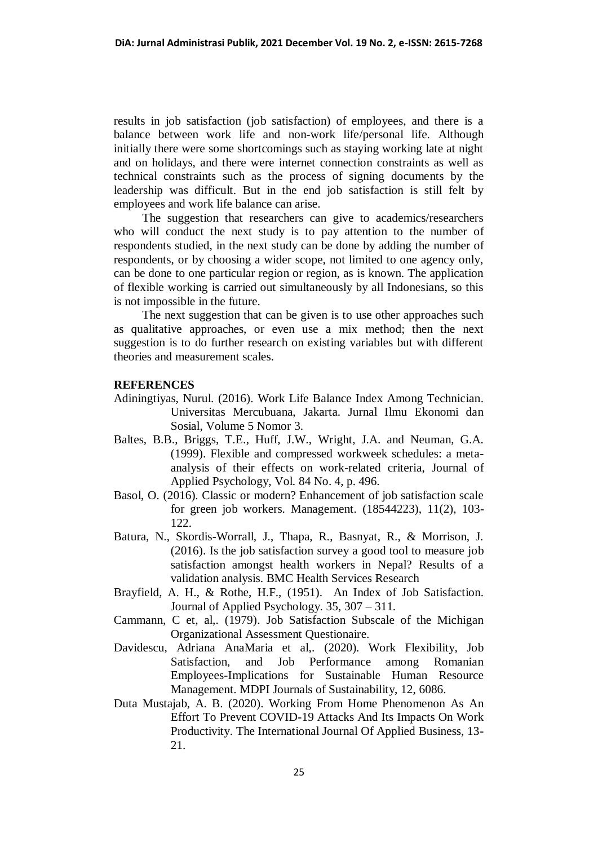results in job satisfaction (job satisfaction) of employees, and there is a balance between work life and non-work life/personal life. Although initially there were some shortcomings such as staying working late at night and on holidays, and there were internet connection constraints as well as technical constraints such as the process of signing documents by the leadership was difficult. But in the end job satisfaction is still felt by employees and work life balance can arise.

The suggestion that researchers can give to academics/researchers who will conduct the next study is to pay attention to the number of respondents studied, in the next study can be done by adding the number of respondents, or by choosing a wider scope, not limited to one agency only, can be done to one particular region or region, as is known. The application of flexible working is carried out simultaneously by all Indonesians, so this is not impossible in the future.

The next suggestion that can be given is to use other approaches such as qualitative approaches, or even use a mix method; then the next suggestion is to do further research on existing variables but with different theories and measurement scales.

#### **REFERENCES**

- Adiningtiyas, Nurul. (2016). Work Life Balance Index Among Technician. Universitas Mercubuana, Jakarta. Jurnal Ilmu Ekonomi dan Sosial, Volume 5 Nomor 3.
- Baltes, B.B., Briggs, T.E., Huff, J.W., Wright, J.A. and Neuman, G.A. (1999). Flexible and compressed workweek schedules: a metaanalysis of their effects on work-related criteria, Journal of Applied Psychology, Vol. 84 No. 4, p. 496.
- Basol, O. (2016). Classic or modern? Enhancement of job satisfaction scale for green job workers. Management. (18544223), 11(2), 103- 122.
- Batura, N., Skordis-Worrall, J., Thapa, R., Basnyat, R., & Morrison, J. (2016). Is the job satisfaction survey a good tool to measure job satisfaction amongst health workers in Nepal? Results of a validation analysis. BMC Health Services Research
- Brayfield, A. H., & Rothe, H.F., (1951). An Index of Job Satisfaction. Journal of Applied Psychology. 35, 307 – 311.
- Cammann, C et, al,. (1979). Job Satisfaction Subscale of the Michigan Organizational Assessment Questionaire.
- Davidescu, Adriana AnaMaria et al,. (2020). Work Flexibility, Job Satisfaction, and Job Performance among Romanian Employees-Implications for Sustainable Human Resource Management. MDPI Journals of Sustainability, 12, 6086.
- Duta Mustajab, A. B. (2020). Working From Home Phenomenon As An Effort To Prevent COVID-19 Attacks And Its Impacts On Work Productivity. The International Journal Of Applied Business, 13- 21.